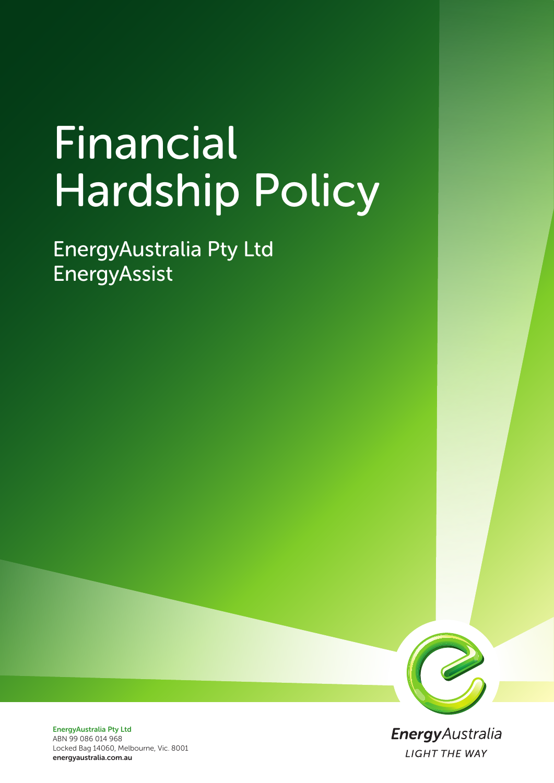# Financial Hardship Policy

EnergyAustralia Pty Ltd EnergyAssist



**Energy** Australia **LIGHT THE WAY** 

EnergyAustralia Pty Ltd ABN 99 086 014 968 Locked Bag 14060, Melbourne, Vic. 8001 energyaustralia.com.au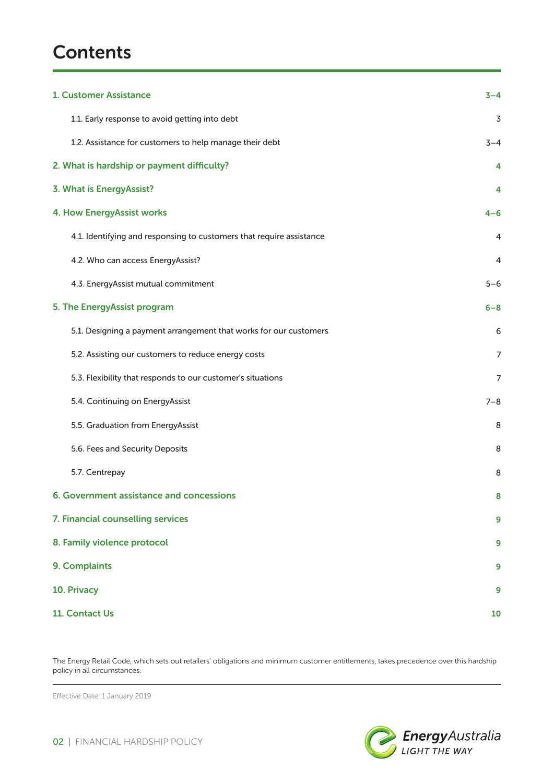# **Contents**

| 1. Customer Assistance                                               | $3 - 4$ |
|----------------------------------------------------------------------|---------|
| 1.1. Early response to avoid getting into debt                       | 3       |
| 1.2. Assistance for customers to help manage their debt              | $3 - 4$ |
| 2. What is hardship or payment difficulty?                           | 4       |
| 3. What is EnergyAssist?                                             | 4       |
| <b>4. How EnergyAssist works</b>                                     | $4 - 6$ |
| 4.1. Identifying and responsing to customers that require assistance | 4       |
| 4.2. Who can access EnergyAssist?                                    | 4       |
| 4.3. EnergyAssist mutual commitment                                  | $5 - 6$ |
| 5. The EnergyAssist program                                          | $6 - 8$ |
| 5.1. Designing a payment arrangement that works for our customers    | 6       |
| 5.2. Assisting our customers to reduce energy costs                  | 7       |
| 5.3. Flexibility that responds to our customer's situations          | 7       |
| 5.4. Continuing on EnergyAssist                                      | $7 - 8$ |
| 5.5. Graduation from EnergyAssist                                    | 8       |
| 5.6. Fees and Security Deposits                                      | 8       |
| 5.7. Centrepay                                                       | 8       |
| 6. Government assistance and concessions                             | 8       |
| 7. Financial counselling services                                    | 9       |
| 8. Family violence protocol                                          | 9       |
| 9. Complaints                                                        | 9       |
| 10. Privacy                                                          | 9       |
| 11. Contact Us                                                       | 10      |

The Energy Retail Code, which sets out retailers' obligations and minimum customer entitlements, takes precedence over this hardship policy in all circumstances.

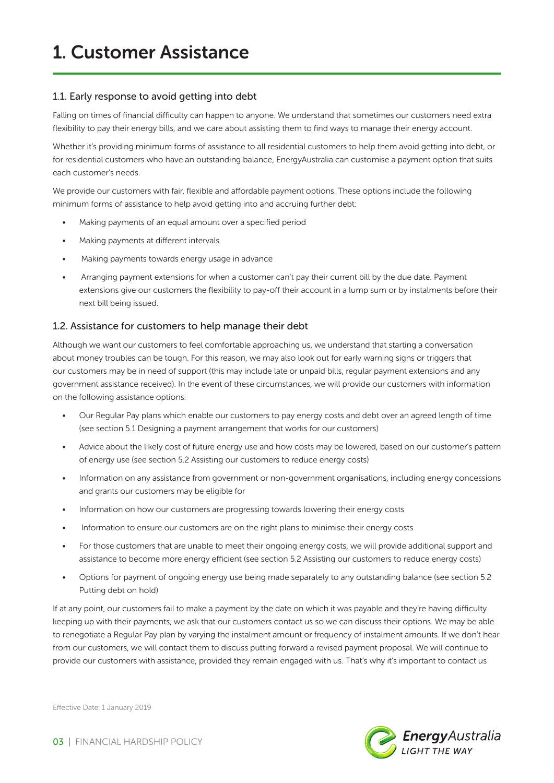### 1.1. Early response to avoid getting into debt

Falling on times of financial difficulty can happen to anyone. We understand that sometimes our customers need extra flexibility to pay their energy bills, and we care about assisting them to find ways to manage their energy account.

Whether it's providing minimum forms of assistance to all residential customers to help them avoid getting into debt, or for residential customers who have an outstanding balance, EnergyAustralia can customise a payment option that suits each customer's needs.

We provide our customers with fair, flexible and affordable payment options. These options include the following minimum forms of assistance to help avoid getting into and accruing further debt:

- Making payments of an equal amount over a specified period
- Making payments at different intervals
- Making payments towards energy usage in advance
- Arranging payment extensions for when a customer can't pay their current bill by the due date. Payment extensions give our customers the flexibility to pay-off their account in a lump sum or by instalments before their next bill being issued.

#### 1.2. Assistance for customers to help manage their debt

Although we want our customers to feel comfortable approaching us, we understand that starting a conversation about money troubles can be tough. For this reason, we may also look out for early warning signs or triggers that our customers may be in need of support (this may include late or unpaid bills, regular payment extensions and any government assistance received). In the event of these circumstances, we will provide our customers with information on the following assistance options:

- Our Regular Pay plans which enable our customers to pay energy costs and debt over an agreed length of time (see section 5.1 Designing a payment arrangement that works for our customers)
- Advice about the likely cost of future energy use and how costs may be lowered, based on our customer's pattern of energy use (see section 5.2 Assisting our customers to reduce energy costs)
- Information on any assistance from government or non-government organisations, including energy concessions and grants our customers may be eligible for
- Information on how our customers are progressing towards lowering their energy costs
- Information to ensure our customers are on the right plans to minimise their energy costs
- For those customers that are unable to meet their ongoing energy costs, we will provide additional support and assistance to become more energy efficient (see section 5.2 Assisting our customers to reduce energy costs)
- Options for payment of ongoing energy use being made separately to any outstanding balance (see section 5.2 Putting debt on hold)

If at any point, our customers fail to make a payment by the date on which it was payable and they're having difficulty keeping up with their payments, we ask that our customers contact us so we can discuss their options. We may be able to renegotiate a Regular Pay plan by varying the instalment amount or frequency of instalment amounts. If we don't hear from our customers, we will contact them to discuss putting forward a revised payment proposal. We will continue to provide our customers with assistance, provided they remain engaged with us. That's why it's important to contact us

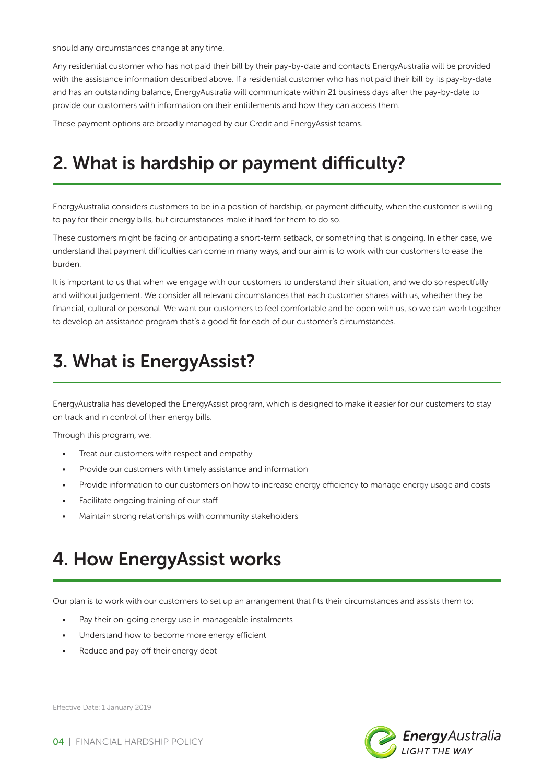should any circumstances change at any time.

Any residential customer who has not paid their bill by their pay-by-date and contacts EnergyAustralia will be provided with the assistance information described above. If a residential customer who has not paid their bill by its pay-by-date and has an outstanding balance, EnergyAustralia will communicate within 21 business days after the pay-by-date to provide our customers with information on their entitlements and how they can access them.

These payment options are broadly managed by our Credit and EnergyAssist teams.

### 2. What is hardship or payment difficulty?

EnergyAustralia considers customers to be in a position of hardship, or payment difficulty, when the customer is willing to pay for their energy bills, but circumstances make it hard for them to do so.

These customers might be facing or anticipating a short-term setback, or something that is ongoing. In either case, we understand that payment difficulties can come in many ways, and our aim is to work with our customers to ease the burden.

It is important to us that when we engage with our customers to understand their situation, and we do so respectfully and without judgement. We consider all relevant circumstances that each customer shares with us, whether they be financial, cultural or personal. We want our customers to feel comfortable and be open with us, so we can work together to develop an assistance program that's a good fit for each of our customer's circumstances.

# 3. What is EnergyAssist?

EnergyAustralia has developed the EnergyAssist program, which is designed to make it easier for our customers to stay on track and in control of their energy bills.

Through this program, we:

- Treat our customers with respect and empathy
- Provide our customers with timely assistance and information
- Provide information to our customers on how to increase energy efficiency to manage energy usage and costs
- Facilitate ongoing training of our staff
- Maintain strong relationships with community stakeholders

### 4. How EnergyAssist works

Our plan is to work with our customers to set up an arrangement that fits their circumstances and assists them to:

- Pay their on-going energy use in manageable instalments
- Understand how to become more energy efficient
- Reduce and pay off their energy debt

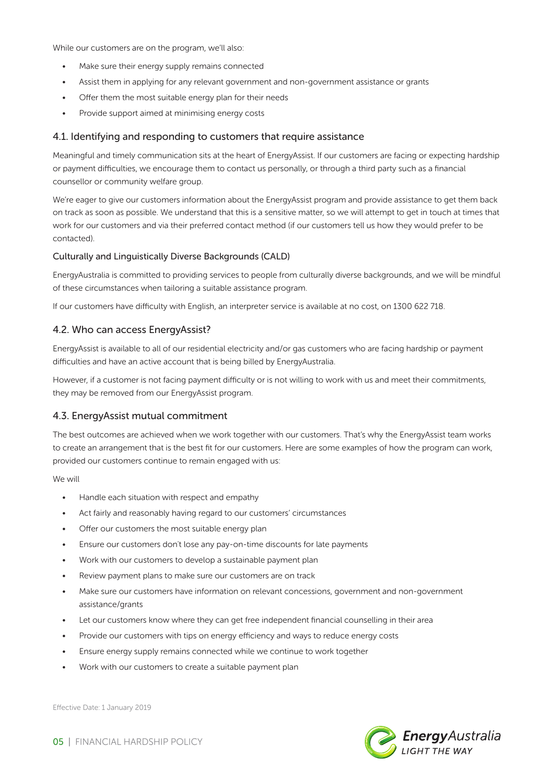While our customers are on the program, we'll also:

- Make sure their energy supply remains connected
- Assist them in applying for any relevant government and non-government assistance or grants
- Offer them the most suitable energy plan for their needs
- Provide support aimed at minimising energy costs

#### 4.1. Identifying and responding to customers that require assistance

Meaningful and timely communication sits at the heart of EnergyAssist. If our customers are facing or expecting hardship or payment difficulties, we encourage them to contact us personally, or through a third party such as a financial counsellor or community welfare group.

We're eager to give our customers information about the EnergyAssist program and provide assistance to get them back on track as soon as possible. We understand that this is a sensitive matter, so we will attempt to get in touch at times that work for our customers and via their preferred contact method (if our customers tell us how they would prefer to be contacted).

#### Culturally and Linguistically Diverse Backgrounds (CALD)

EnergyAustralia is committed to providing services to people from culturally diverse backgrounds, and we will be mindful of these circumstances when tailoring a suitable assistance program.

If our customers have difficulty with English, an interpreter service is available at no cost, on 1300 622 718.

#### 4.2. Who can access EnergyAssist?

EnergyAssist is available to all of our residential electricity and/or gas customers who are facing hardship or payment difficulties and have an active account that is being billed by EnergyAustralia.

However, if a customer is not facing payment difficulty or is not willing to work with us and meet their commitments, they may be removed from our EnergyAssist program.

#### 4.3. EnergyAssist mutual commitment

The best outcomes are achieved when we work together with our customers. That's why the EnergyAssist team works to create an arrangement that is the best fit for our customers. Here are some examples of how the program can work, provided our customers continue to remain engaged with us:

We will

- Handle each situation with respect and empathy
- Act fairly and reasonably having regard to our customers' circumstances
- Offer our customers the most suitable energy plan
- Ensure our customers don't lose any pay-on-time discounts for late payments
- Work with our customers to develop a sustainable payment plan
- Review payment plans to make sure our customers are on track
- Make sure our customers have information on relevant concessions, government and non-government assistance/grants
- Let our customers know where they can get free independent financial counselling in their area
- Provide our customers with tips on energy efficiency and ways to reduce energy costs
- Ensure energy supply remains connected while we continue to work together
- Work with our customers to create a suitable payment plan

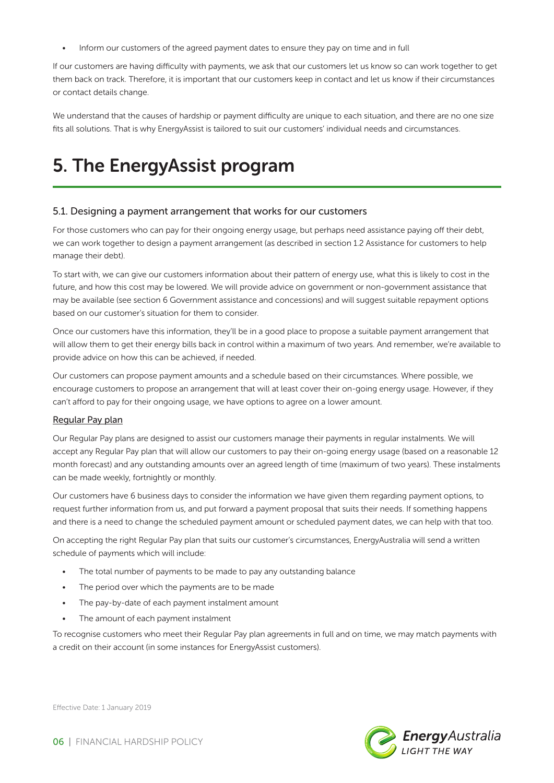• Inform our customers of the agreed payment dates to ensure they pay on time and in full

If our customers are having difficulty with payments, we ask that our customers let us know so can work together to get them back on track. Therefore, it is important that our customers keep in contact and let us know if their circumstances or contact details change.

We understand that the causes of hardship or payment difficulty are unique to each situation, and there are no one size fits all solutions. That is why EnergyAssist is tailored to suit our customers' individual needs and circumstances.

### 5. The EnergyAssist program

#### 5.1. Designing a payment arrangement that works for our customers

For those customers who can pay for their ongoing energy usage, but perhaps need assistance paying off their debt, we can work together to design a payment arrangement (as described in section 1.2 Assistance for customers to help manage their debt).

To start with, we can give our customers information about their pattern of energy use, what this is likely to cost in the future, and how this cost may be lowered. We will provide advice on government or non-government assistance that may be available (see section 6 Government assistance and concessions) and will suggest suitable repayment options based on our customer's situation for them to consider.

Once our customers have this information, they'll be in a good place to propose a suitable payment arrangement that will allow them to get their energy bills back in control within a maximum of two years. And remember, we're available to provide advice on how this can be achieved, if needed.

Our customers can propose payment amounts and a schedule based on their circumstances. Where possible, we encourage customers to propose an arrangement that will at least cover their on-going energy usage. However, if they can't afford to pay for their ongoing usage, we have options to agree on a lower amount.

#### Regular Pay plan

Our Regular Pay plans are designed to assist our customers manage their payments in regular instalments. We will accept any Regular Pay plan that will allow our customers to pay their on-going energy usage (based on a reasonable 12 month forecast) and any outstanding amounts over an agreed length of time (maximum of two years). These instalments can be made weekly, fortnightly or monthly.

Our customers have 6 business days to consider the information we have given them regarding payment options, to request further information from us, and put forward a payment proposal that suits their needs. If something happens and there is a need to change the scheduled payment amount or scheduled payment dates, we can help with that too.

On accepting the right Regular Pay plan that suits our customer's circumstances, EnergyAustralia will send a written schedule of payments which will include:

- The total number of payments to be made to pay any outstanding balance
- The period over which the payments are to be made
- The pay-by-date of each payment instalment amount
- The amount of each payment instalment

To recognise customers who meet their Regular Pay plan agreements in full and on time, we may match payments with a credit on their account (in some instances for EnergyAssist customers).

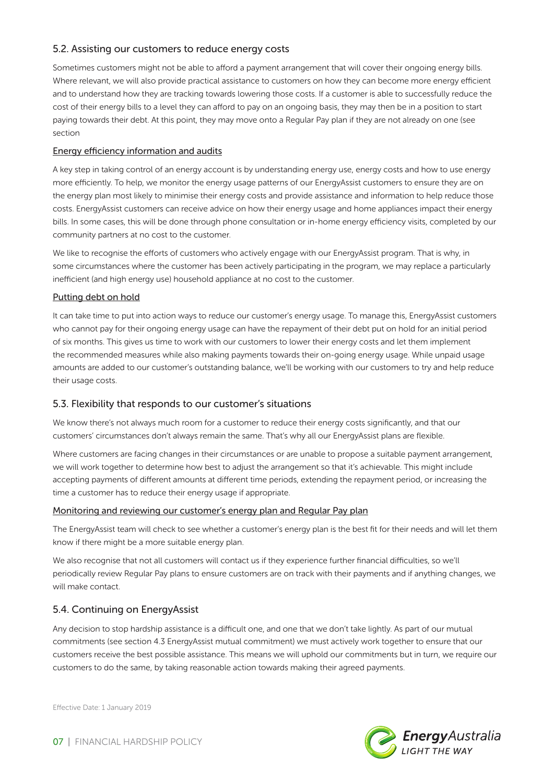### 5.2. Assisting our customers to reduce energy costs

Sometimes customers might not be able to afford a payment arrangement that will cover their ongoing energy bills. Where relevant, we will also provide practical assistance to customers on how they can become more energy efficient and to understand how they are tracking towards lowering those costs. If a customer is able to successfully reduce the cost of their energy bills to a level they can afford to pay on an ongoing basis, they may then be in a position to start paying towards their debt. At this point, they may move onto a Regular Pay plan if they are not already on one (see section

#### Energy efficiency information and audits

A key step in taking control of an energy account is by understanding energy use, energy costs and how to use energy more efficiently. To help, we monitor the energy usage patterns of our EnergyAssist customers to ensure they are on the energy plan most likely to minimise their energy costs and provide assistance and information to help reduce those costs. EnergyAssist customers can receive advice on how their energy usage and home appliances impact their energy bills. In some cases, this will be done through phone consultation or in-home energy efficiency visits, completed by our community partners at no cost to the customer.

We like to recognise the efforts of customers who actively engage with our EnergyAssist program. That is why, in some circumstances where the customer has been actively participating in the program, we may replace a particularly inefficient (and high energy use) household appliance at no cost to the customer.

#### Putting debt on hold

It can take time to put into action ways to reduce our customer's energy usage. To manage this, EnergyAssist customers who cannot pay for their ongoing energy usage can have the repayment of their debt put on hold for an initial period of six months. This gives us time to work with our customers to lower their energy costs and let them implement the recommended measures while also making payments towards their on-going energy usage. While unpaid usage amounts are added to our customer's outstanding balance, we'll be working with our customers to try and help reduce their usage costs.

#### 5.3. Flexibility that responds to our customer's situations

We know there's not always much room for a customer to reduce their energy costs significantly, and that our customers' circumstances don't always remain the same. That's why all our EnergyAssist plans are flexible.

Where customers are facing changes in their circumstances or are unable to propose a suitable payment arrangement, we will work together to determine how best to adjust the arrangement so that it's achievable. This might include accepting payments of different amounts at different time periods, extending the repayment period, or increasing the time a customer has to reduce their energy usage if appropriate.

#### Monitoring and reviewing our customer's energy plan and Regular Pay plan

The EnergyAssist team will check to see whether a customer's energy plan is the best fit for their needs and will let them know if there might be a more suitable energy plan.

We also recognise that not all customers will contact us if they experience further financial difficulties, so we'll periodically review Regular Pay plans to ensure customers are on track with their payments and if anything changes, we will make contact.

### 5.4. Continuing on EnergyAssist

Any decision to stop hardship assistance is a difficult one, and one that we don't take lightly. As part of our mutual commitments (see section 4.3 EnergyAssist mutual commitment) we must actively work together to ensure that our customers receive the best possible assistance. This means we will uphold our commitments but in turn, we require our customers to do the same, by taking reasonable action towards making their agreed payments.



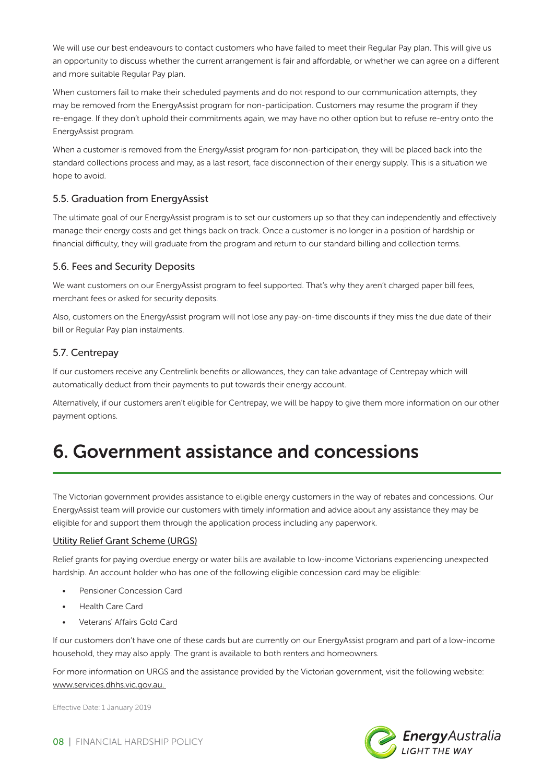We will use our best endeavours to contact customers who have failed to meet their Regular Pay plan. This will give us an opportunity to discuss whether the current arrangement is fair and affordable, or whether we can agree on a different and more suitable Regular Pay plan.

When customers fail to make their scheduled payments and do not respond to our communication attempts, they may be removed from the EnergyAssist program for non-participation. Customers may resume the program if they re-engage. If they don't uphold their commitments again, we may have no other option but to refuse re-entry onto the EnergyAssist program.

When a customer is removed from the EnergyAssist program for non-participation, they will be placed back into the standard collections process and may, as a last resort, face disconnection of their energy supply. This is a situation we hope to avoid.

### 5.5. Graduation from EnergyAssist

The ultimate goal of our EnergyAssist program is to set our customers up so that they can independently and effectively manage their energy costs and get things back on track. Once a customer is no longer in a position of hardship or financial difficulty, they will graduate from the program and return to our standard billing and collection terms.

### 5.6. Fees and Security Deposits

We want customers on our EnergyAssist program to feel supported. That's why they aren't charged paper bill fees, merchant fees or asked for security deposits.

Also, customers on the EnergyAssist program will not lose any pay-on-time discounts if they miss the due date of their bill or Regular Pay plan instalments.

### 5.7. Centrepay

If our customers receive any Centrelink benefits or allowances, they can take advantage of Centrepay which will automatically deduct from their payments to put towards their energy account.

Alternatively, if our customers aren't eligible for Centrepay, we will be happy to give them more information on our other payment options.

# 6. Government assistance and concessions

The Victorian government provides assistance to eligible energy customers in the way of rebates and concessions. Our EnergyAssist team will provide our customers with timely information and advice about any assistance they may be eligible for and support them through the application process including any paperwork.

#### Utility Relief Grant Scheme (URGS)

Relief grants for paying overdue energy or water bills are available to low-income Victorians experiencing unexpected hardship. An account holder who has one of the following eligible concession card may be eligible:

- Pensioner Concession Card
- Health Care Card
- Veterans' Affairs Gold Card

If our customers don't have one of these cards but are currently on our EnergyAssist program and part of a low-income household, they may also apply. The grant is available to both renters and homeowners.

For more information on URGS and the assistance provided by the Victorian government, visit the following website: www.services.dhhs.vic.gov.au.

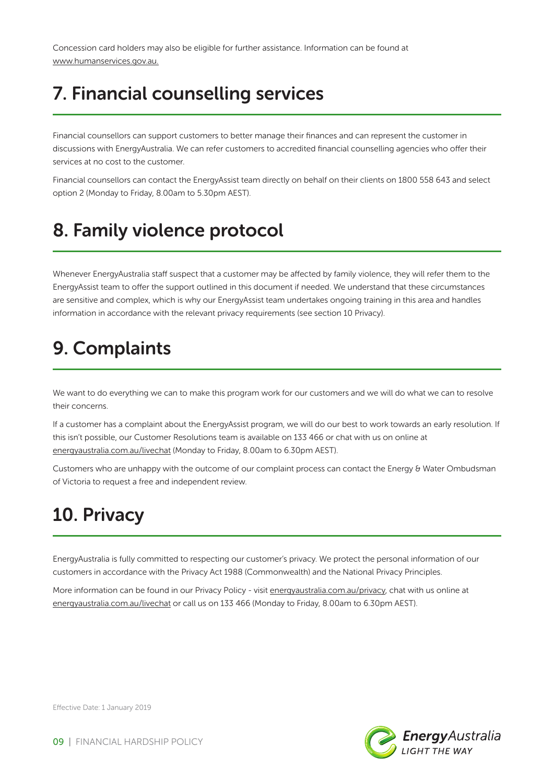Concession card holders may also be eligible for further assistance. Information can be found at www.humanservices.gov.au.

# 7. Financial counselling services

Financial counsellors can support customers to better manage their finances and can represent the customer in discussions with EnergyAustralia. We can refer customers to accredited financial counselling agencies who offer their services at no cost to the customer.

Financial counsellors can contact the EnergyAssist team directly on behalf on their clients on 1800 558 643 and select option 2 (Monday to Friday, 8.00am to 5.30pm AEST).

# 8. Family violence protocol

Whenever EnergyAustralia staff suspect that a customer may be affected by family violence, they will refer them to the EnergyAssist team to offer the support outlined in this document if needed. We understand that these circumstances are sensitive and complex, which is why our EnergyAssist team undertakes ongoing training in this area and handles information in accordance with the relevant privacy requirements (see section 10 Privacy).

# 9. Complaints

We want to do everything we can to make this program work for our customers and we will do what we can to resolve their concerns.

If a customer has a complaint about the EnergyAssist program, we will do our best to work towards an early resolution. If this isn't possible, our Customer Resolutions team is available on 133 466 or chat with us on online at energyaustralia.com.au/livechat (Monday to Friday, 8.00am to 6.30pm AEST).

Customers who are unhappy with the outcome of our complaint process can contact the Energy & Water Ombudsman of Victoria to request a free and independent review.

### 10. Privacy

EnergyAustralia is fully committed to respecting our customer's privacy. We protect the personal information of our customers in accordance with the Privacy Act 1988 (Commonwealth) and the National Privacy Principles.

More information can be found in our Privacy Policy - visit energyaustralia.com.au/privacy, chat with us online at energyaustralia.com.au/livechat or call us on 133 466 (Monday to Friday, 8.00am to 6.30pm AEST).